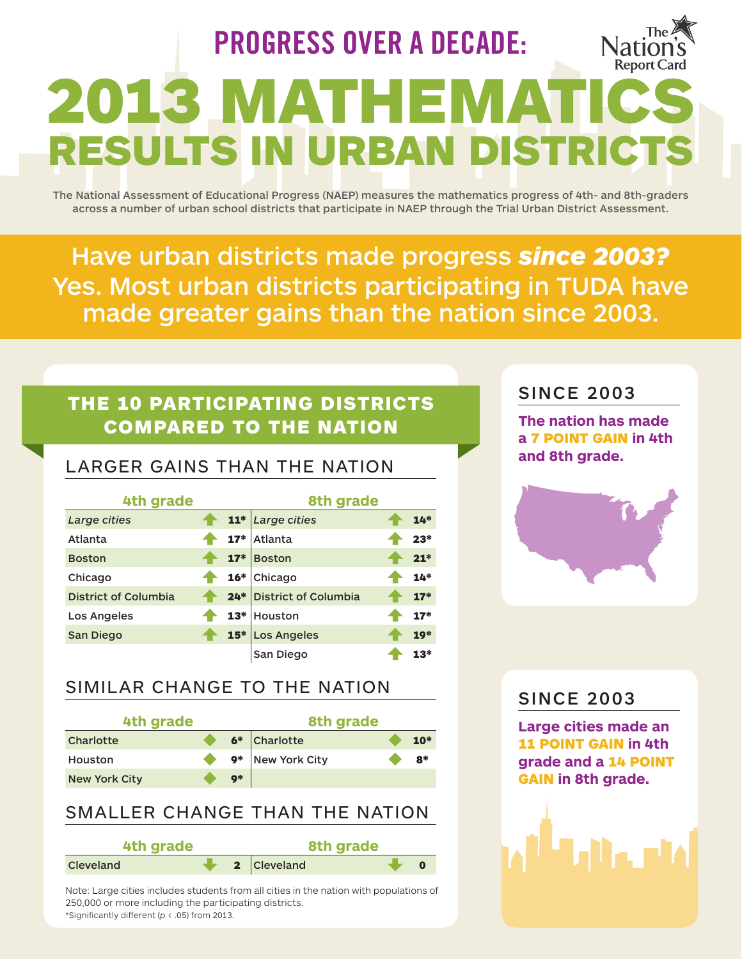# PROGRESS OVER A DECADE: 2013 MATHEMAT RESULTS IN URBAN DISTI

The National Assessment of Educational Progress (NAEP) measures the mathematics progress of 4th- and 8th-graders across a number of urban school districts that participate in NAEP through the Trial Urban District Assessment.

Have urban districts made progress *since 2003?* Yes. Most urban districts participating in TUDA have made greater gains than the nation since 2003.

## THE 10 PARTICIPATING DISTRICTS COMPARED TO THE NATION

## LARGER GAINS THAN THE NATION

| 4th grade                   |       | 8th grade                   |       |
|-----------------------------|-------|-----------------------------|-------|
| Large cities                | $11*$ | Large cities                | $14*$ |
| Atlanta                     | $17*$ | Atlanta                     | $23*$ |
| <b>Boston</b>               | $17*$ | <b>Boston</b>               | $21*$ |
| Chicago                     | $16*$ | Chicago                     | $14*$ |
| <b>District of Columbia</b> | $24*$ | <b>District of Columbia</b> | $17*$ |
| Los Angeles                 | $13*$ | Houston                     | $17*$ |
| San Diego                   | $15*$ | <b>Los Angeles</b>          | $19*$ |
|                             |       | San Diego                   | $13*$ |

## SIMILAR CHANGE TO THE NATION

| 4th grade            |                | 8th grade     |       |
|----------------------|----------------|---------------|-------|
| Charlotte            |                | 6* Charlotte  | $10*$ |
| Houston              | 9*             | New York City | 8*    |
| <b>New York City</b> | $\mathbf{Q}^*$ |               |       |

## SMALLER CHANGE THAN THE NATION

| 4th grade |  |  | 8th grade   |  |  |  |
|-----------|--|--|-------------|--|--|--|
| Cleveland |  |  | 2 Cleveland |  |  |  |

Note: Large cities includes students from all cities in the nation with populations of 250,000 or more including the participating districts. \*Significantly different (*p* < .05) from 2013.

#### **SINCE 2003**

**The nation has made a** 7 POINT GAIN **in 4th and 8th grade.**



## SINCE 2003

**Large cities made an** 11 POINT GAIN **in 4th grade and a** 14 POINT GAIN **in 8th grade.**